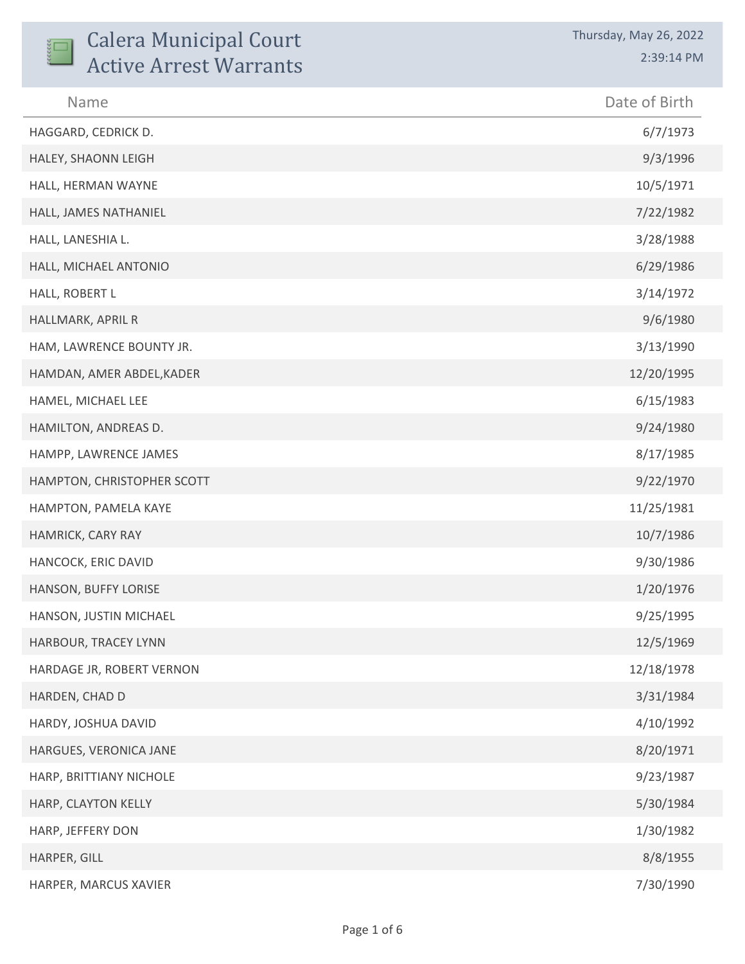| <b>Calera Municipal Court</b><br><b>Active Arrest Warrants</b> | Thursday, May 26, 2022<br>2:39:14 PM |
|----------------------------------------------------------------|--------------------------------------|
| Name                                                           | Date of Birth                        |
| HAGGARD, CEDRICK D.                                            | 6/7/1973                             |
| HALEY, SHAONN LEIGH                                            | 9/3/1996                             |
| HALL, HERMAN WAYNE                                             | 10/5/1971                            |
| HALL, JAMES NATHANIEL                                          | 7/22/1982                            |
| HALL, LANESHIA L.                                              | 3/28/1988                            |
| HALL, MICHAEL ANTONIO                                          | 6/29/1986                            |
| HALL, ROBERT L                                                 | 3/14/1972                            |
| HALLMARK, APRIL R                                              | 9/6/1980                             |
| HAM, LAWRENCE BOUNTY JR.                                       | 3/13/1990                            |
| HAMDAN, AMER ABDEL, KADER                                      | 12/20/1995                           |
| HAMEL, MICHAEL LEE                                             | 6/15/1983                            |
| HAMILTON, ANDREAS D.                                           | 9/24/1980                            |
| HAMPP, LAWRENCE JAMES                                          | 8/17/1985                            |
| HAMPTON, CHRISTOPHER SCOTT                                     | 9/22/1970                            |
| HAMPTON, PAMELA KAYE                                           | 11/25/1981                           |
| HAMRICK, CARY RAY                                              | 10/7/1986                            |
| HANCOCK, ERIC DAVID                                            | 9/30/1986                            |
| HANSON, BUFFY LORISE                                           | 1/20/1976                            |
| HANSON, JUSTIN MICHAEL                                         | 9/25/1995                            |
| HARBOUR, TRACEY LYNN                                           | 12/5/1969                            |
| HARDAGE JR, ROBERT VERNON                                      | 12/18/1978                           |
| HARDEN, CHAD D                                                 | 3/31/1984                            |
| HARDY, JOSHUA DAVID                                            | 4/10/1992                            |
| HARGUES, VERONICA JANE                                         | 8/20/1971                            |
| HARP, BRITTIANY NICHOLE                                        | 9/23/1987                            |
| HARP, CLAYTON KELLY                                            | 5/30/1984                            |
| HARP, JEFFERY DON                                              | 1/30/1982                            |
| HARPER, GILL                                                   | 8/8/1955                             |
| HARPER, MARCUS XAVIER                                          | 7/30/1990                            |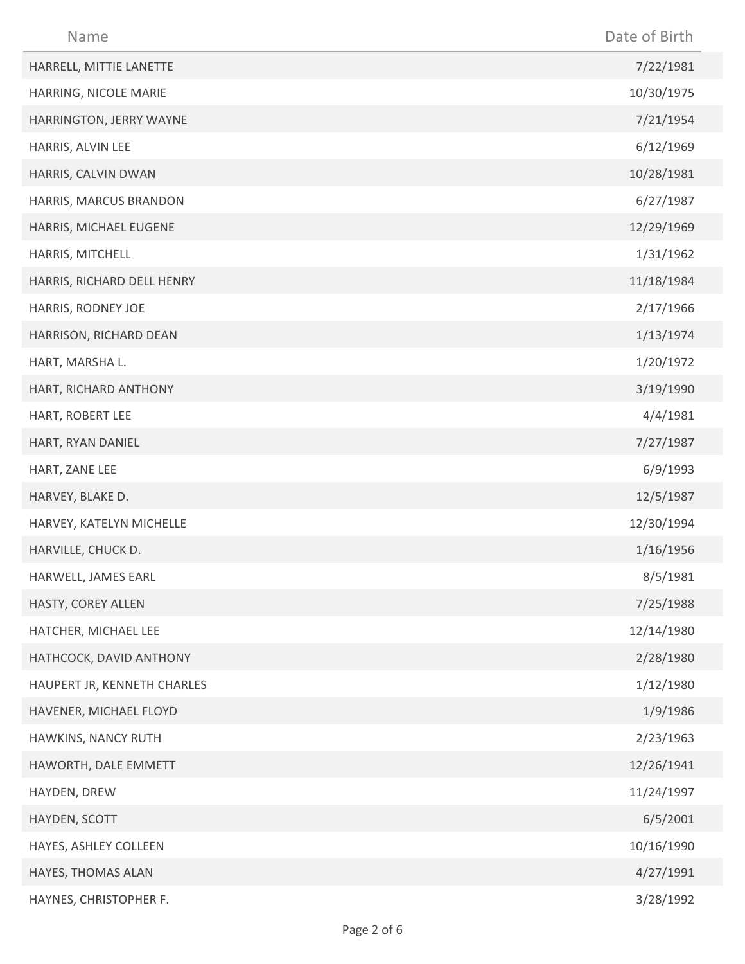| Name                        | Date of Birth |
|-----------------------------|---------------|
| HARRELL, MITTIE LANETTE     | 7/22/1981     |
| HARRING, NICOLE MARIE       | 10/30/1975    |
| HARRINGTON, JERRY WAYNE     | 7/21/1954     |
| HARRIS, ALVIN LEE           | 6/12/1969     |
| HARRIS, CALVIN DWAN         | 10/28/1981    |
| HARRIS, MARCUS BRANDON      | 6/27/1987     |
| HARRIS, MICHAEL EUGENE      | 12/29/1969    |
| HARRIS, MITCHELL            | 1/31/1962     |
| HARRIS, RICHARD DELL HENRY  | 11/18/1984    |
| HARRIS, RODNEY JOE          | 2/17/1966     |
| HARRISON, RICHARD DEAN      | 1/13/1974     |
| HART, MARSHA L.             | 1/20/1972     |
| HART, RICHARD ANTHONY       | 3/19/1990     |
| HART, ROBERT LEE            | 4/4/1981      |
| HART, RYAN DANIEL           | 7/27/1987     |
| HART, ZANE LEE              | 6/9/1993      |
| HARVEY, BLAKE D.            | 12/5/1987     |
| HARVEY, KATELYN MICHELLE    | 12/30/1994    |
| HARVILLE, CHUCK D.          | 1/16/1956     |
| HARWELL, JAMES EARL         | 8/5/1981      |
| HASTY, COREY ALLEN          | 7/25/1988     |
| HATCHER, MICHAEL LEE        | 12/14/1980    |
| HATHCOCK, DAVID ANTHONY     | 2/28/1980     |
| HAUPERT JR, KENNETH CHARLES | 1/12/1980     |
| HAVENER, MICHAEL FLOYD      | 1/9/1986      |
| HAWKINS, NANCY RUTH         | 2/23/1963     |
| HAWORTH, DALE EMMETT        | 12/26/1941    |
| HAYDEN, DREW                | 11/24/1997    |
| HAYDEN, SCOTT               | 6/5/2001      |
| HAYES, ASHLEY COLLEEN       | 10/16/1990    |
| HAYES, THOMAS ALAN          | 4/27/1991     |
| HAYNES, CHRISTOPHER F.      | 3/28/1992     |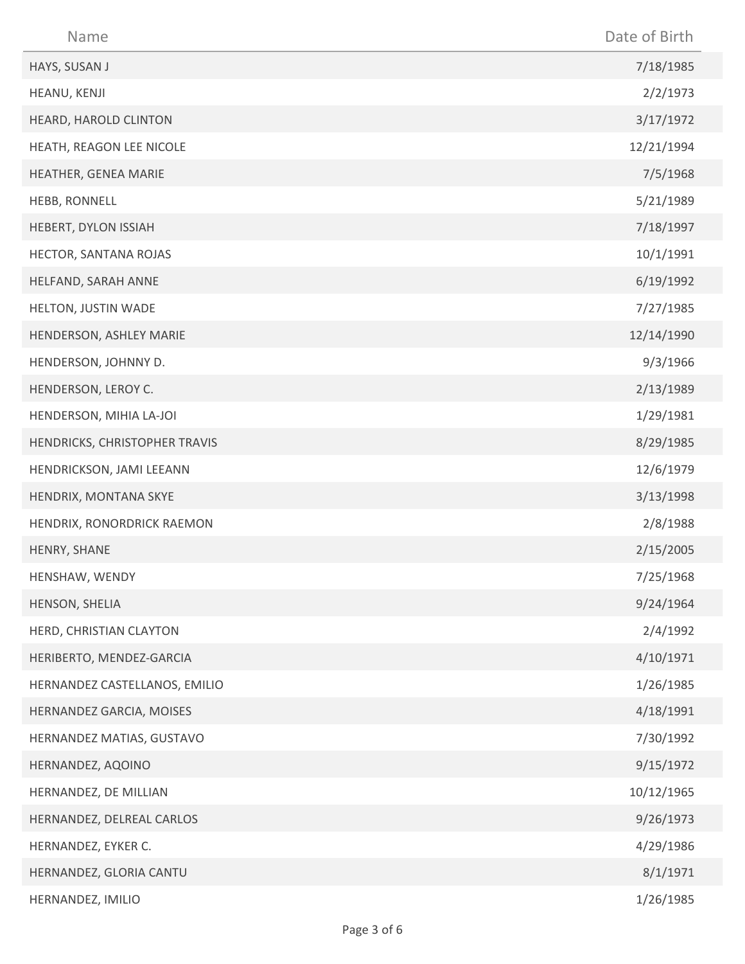| Name                          | Date of Birth |
|-------------------------------|---------------|
| HAYS, SUSAN J                 | 7/18/1985     |
| HEANU, KENJI                  | 2/2/1973      |
| HEARD, HAROLD CLINTON         | 3/17/1972     |
| HEATH, REAGON LEE NICOLE      | 12/21/1994    |
| HEATHER, GENEA MARIE          | 7/5/1968      |
| HEBB, RONNELL                 | 5/21/1989     |
| HEBERT, DYLON ISSIAH          | 7/18/1997     |
| HECTOR, SANTANA ROJAS         | 10/1/1991     |
| HELFAND, SARAH ANNE           | 6/19/1992     |
| HELTON, JUSTIN WADE           | 7/27/1985     |
| HENDERSON, ASHLEY MARIE       | 12/14/1990    |
| HENDERSON, JOHNNY D.          | 9/3/1966      |
| HENDERSON, LEROY C.           | 2/13/1989     |
| HENDERSON, MIHIA LA-JOI       | 1/29/1981     |
| HENDRICKS, CHRISTOPHER TRAVIS | 8/29/1985     |
| HENDRICKSON, JAMI LEEANN      | 12/6/1979     |
| HENDRIX, MONTANA SKYE         | 3/13/1998     |
| HENDRIX, RONORDRICK RAEMON    | 2/8/1988      |
| HENRY, SHANE                  | 2/15/2005     |
| HENSHAW, WENDY                | 7/25/1968     |
| HENSON, SHELIA                | 9/24/1964     |
| HERD, CHRISTIAN CLAYTON       | 2/4/1992      |
| HERIBERTO, MENDEZ-GARCIA      | 4/10/1971     |
| HERNANDEZ CASTELLANOS, EMILIO | 1/26/1985     |
| HERNANDEZ GARCIA, MOISES      | 4/18/1991     |
| HERNANDEZ MATIAS, GUSTAVO     | 7/30/1992     |
| HERNANDEZ, AQOINO             | 9/15/1972     |
| HERNANDEZ, DE MILLIAN         | 10/12/1965    |
| HERNANDEZ, DELREAL CARLOS     | 9/26/1973     |
| HERNANDEZ, EYKER C.           | 4/29/1986     |
| HERNANDEZ, GLORIA CANTU       | 8/1/1971      |
| HERNANDEZ, IMILIO             | 1/26/1985     |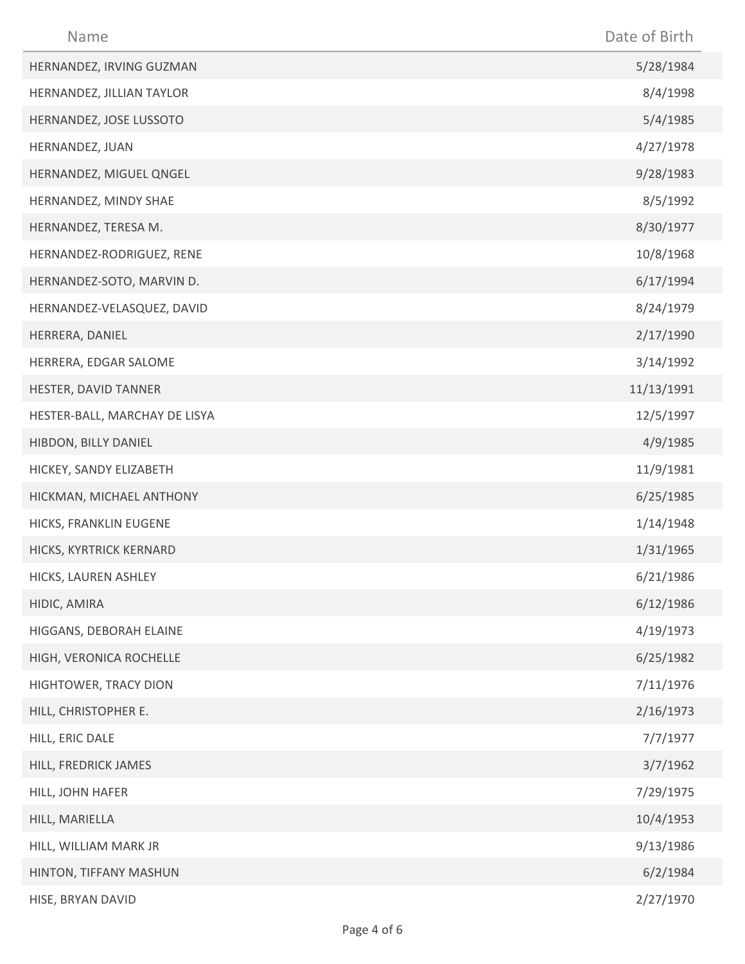| Name                          | Date of Birth |
|-------------------------------|---------------|
| HERNANDEZ, IRVING GUZMAN      | 5/28/1984     |
| HERNANDEZ, JILLIAN TAYLOR     | 8/4/1998      |
| HERNANDEZ, JOSE LUSSOTO       | 5/4/1985      |
| HERNANDEZ, JUAN               | 4/27/1978     |
| HERNANDEZ, MIGUEL QNGEL       | 9/28/1983     |
| HERNANDEZ, MINDY SHAE         | 8/5/1992      |
| HERNANDEZ, TERESA M.          | 8/30/1977     |
| HERNANDEZ-RODRIGUEZ, RENE     | 10/8/1968     |
| HERNANDEZ-SOTO, MARVIN D.     | 6/17/1994     |
| HERNANDEZ-VELASQUEZ, DAVID    | 8/24/1979     |
| HERRERA, DANIEL               | 2/17/1990     |
| HERRERA, EDGAR SALOME         | 3/14/1992     |
| HESTER, DAVID TANNER          | 11/13/1991    |
| HESTER-BALL, MARCHAY DE LISYA | 12/5/1997     |
| HIBDON, BILLY DANIEL          | 4/9/1985      |
| HICKEY, SANDY ELIZABETH       | 11/9/1981     |
| HICKMAN, MICHAEL ANTHONY      | 6/25/1985     |
| HICKS, FRANKLIN EUGENE        | 1/14/1948     |
| HICKS, KYRTRICK KERNARD       | 1/31/1965     |
| HICKS, LAUREN ASHLEY          | 6/21/1986     |
| HIDIC, AMIRA                  | 6/12/1986     |
| HIGGANS, DEBORAH ELAINE       | 4/19/1973     |
| HIGH, VERONICA ROCHELLE       | 6/25/1982     |
| HIGHTOWER, TRACY DION         | 7/11/1976     |
| HILL, CHRISTOPHER E.          | 2/16/1973     |
| HILL, ERIC DALE               | 7/7/1977      |
| HILL, FREDRICK JAMES          | 3/7/1962      |
| HILL, JOHN HAFER              | 7/29/1975     |
| HILL, MARIELLA                | 10/4/1953     |
| HILL, WILLIAM MARK JR         | 9/13/1986     |
| HINTON, TIFFANY MASHUN        | 6/2/1984      |
| HISE, BRYAN DAVID             | 2/27/1970     |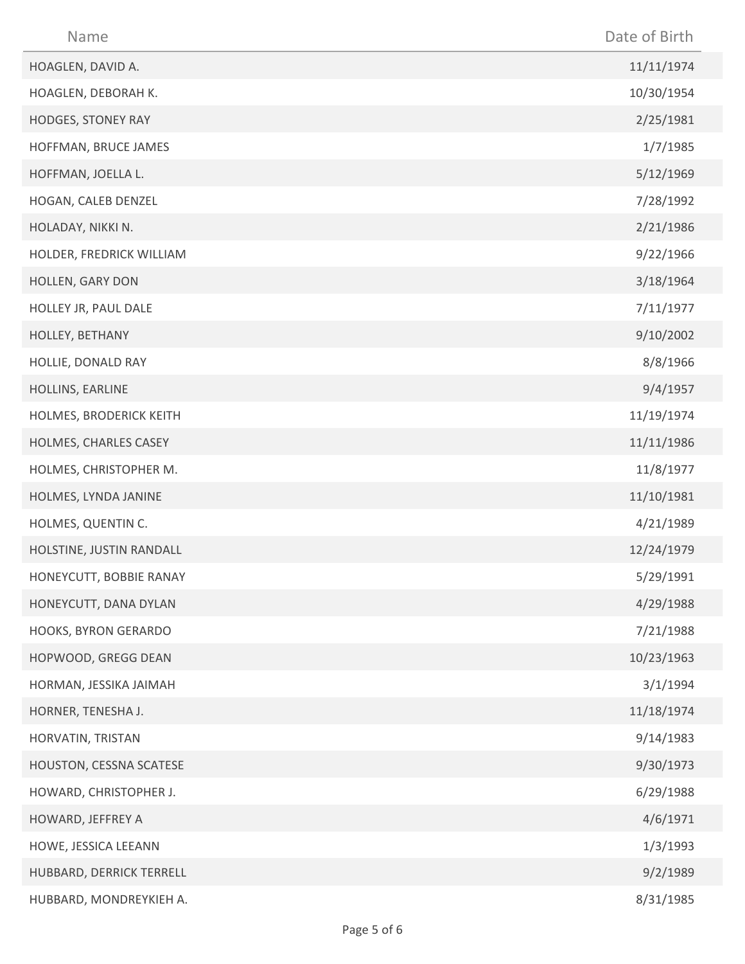| Name                     | Date of Birth |
|--------------------------|---------------|
| HOAGLEN, DAVID A.        | 11/11/1974    |
| HOAGLEN, DEBORAH K.      | 10/30/1954    |
| HODGES, STONEY RAY       | 2/25/1981     |
| HOFFMAN, BRUCE JAMES     | 1/7/1985      |
| HOFFMAN, JOELLA L.       | 5/12/1969     |
| HOGAN, CALEB DENZEL      | 7/28/1992     |
| HOLADAY, NIKKI N.        | 2/21/1986     |
| HOLDER, FREDRICK WILLIAM | 9/22/1966     |
| HOLLEN, GARY DON         | 3/18/1964     |
| HOLLEY JR, PAUL DALE     | 7/11/1977     |
| HOLLEY, BETHANY          | 9/10/2002     |
| HOLLIE, DONALD RAY       | 8/8/1966      |
| HOLLINS, EARLINE         | 9/4/1957      |
| HOLMES, BRODERICK KEITH  | 11/19/1974    |
| HOLMES, CHARLES CASEY    | 11/11/1986    |
| HOLMES, CHRISTOPHER M.   | 11/8/1977     |
| HOLMES, LYNDA JANINE     | 11/10/1981    |
| HOLMES, QUENTIN C.       | 4/21/1989     |
| HOLSTINE, JUSTIN RANDALL | 12/24/1979    |
| HONEYCUTT, BOBBIE RANAY  | 5/29/1991     |
| HONEYCUTT, DANA DYLAN    | 4/29/1988     |
| HOOKS, BYRON GERARDO     | 7/21/1988     |
| HOPWOOD, GREGG DEAN      | 10/23/1963    |
| HORMAN, JESSIKA JAIMAH   | 3/1/1994      |
| HORNER, TENESHA J.       | 11/18/1974    |
| HORVATIN, TRISTAN        | 9/14/1983     |
| HOUSTON, CESSNA SCATESE  | 9/30/1973     |
| HOWARD, CHRISTOPHER J.   | 6/29/1988     |
| HOWARD, JEFFREY A        | 4/6/1971      |
| HOWE, JESSICA LEEANN     | 1/3/1993      |
| HUBBARD, DERRICK TERRELL | 9/2/1989      |
| HUBBARD, MONDREYKIEH A.  | 8/31/1985     |